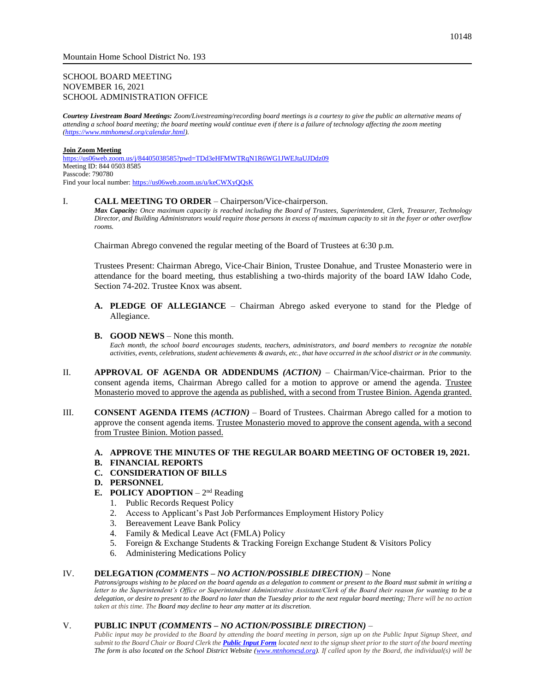## SCHOOL BOARD MEETING NOVEMBER 16, 2021 SCHOOL ADMINISTRATION OFFICE

*Courtesy Livestream Board Meetings: Zoom/Livestreaming/recording board meetings is a courtesy to give the public an alternative means of attending a school board meeting; the board meeting would continue even if there is a failure of technology affecting the zoom meeting [\(https://www.mtnhomesd.org/calendar.html\)](https://www.mtnhomesd.org/calendar.html).*

#### **Join Zoom Meeting**

<https://us06web.zoom.us/j/84405038585?pwd=TDd3eHFMWTRqN1R6WG1JWEJtaUJDdz09> Meeting ID: 844 0503 8585 Passcode: 790780 Find your local number[: https://us06web.zoom.us/u/keCWXyQQsK](https://us06web.zoom.us/u/keCWXyQQsK)

#### I. **CALL MEETING TO ORDER** – Chairperson/Vice-chairperson.

*Max Capacity: Once maximum capacity is reached including the Board of Trustees, Superintendent, Clerk, Treasurer, Technology Director, and Building Administrators would require those persons in excess of maximum capacity to sit in the foyer or other overflow rooms.*

Chairman Abrego convened the regular meeting of the Board of Trustees at 6:30 p.m.

Trustees Present: Chairman Abrego, Vice-Chair Binion, Trustee Donahue, and Trustee Monasterio were in attendance for the board meeting, thus establishing a two-thirds majority of the board IAW Idaho Code, Section 74-202. Trustee Knox was absent.

**A. PLEDGE OF ALLEGIANCE** – Chairman Abrego asked everyone to stand for the Pledge of Allegiance.

#### **B. GOOD NEWS** – None this month.

*Each month, the school board encourages students, teachers, administrators, and board members to recognize the notable activities, events, celebrations, student achievements & awards, etc., that have occurred in the school district or in the community.*

- II. **APPROVAL OF AGENDA OR ADDENDUMS** *(ACTION)* Chairman/Vice-chairman. Prior to the consent agenda items, Chairman Abrego called for a motion to approve or amend the agenda. Trustee Monasterio moved to approve the agenda as published, with a second from Trustee Binion. Agenda granted.
- III. **CONSENT AGENDA ITEMS** *(ACTION)* Board of Trustees. Chairman Abrego called for a motion to approve the consent agenda items. Trustee Monasterio moved to approve the consent agenda, with a second from Trustee Binion. Motion passed.

# **A. APPROVE THE MINUTES OF THE REGULAR BOARD MEETING OF OCTOBER 19, 2021.**

- **B. FINANCIAL REPORTS**
- **C. CONSIDERATION OF BILLS**
- **D. PERSONNEL**
- **E. POLICY ADOPTION**  $2<sup>nd</sup>$  Reading
	- 1. Public Records Request Policy
	- 2. Access to Applicant's Past Job Performances Employment History Policy
	- 3. Bereavement Leave Bank Policy
	- 4. Family & Medical Leave Act (FMLA) Policy
	- 5. Foreign & Exchange Students & Tracking Foreign Exchange Student & Visitors Policy
	- 6. Administering Medications Policy

## IV. **DELEGATION** *(COMMENTS – NO ACTION/POSSIBLE DIRECTION)* – None

*Patrons/groups wishing to be placed on the board agenda as a delegation to comment or present to the Board must submit in writing a letter to the Superintendent's Office or Superintendent Administrative Assistant/Clerk of the Board their reason for wanting to be a delegation, or desire to present to the Board no later than the Tuesday prior to the next regular board meeting; There will be no action taken at this time. The Board may decline to hear any matter at its discretion.*

#### V. **PUBLIC INPUT** *(COMMENTS – NO ACTION/POSSIBLE DIRECTION)* –

*Public input may be provided to the Board by attending the board meeting in person, sign up on the Public Input Signup Sheet, and submit to the Board Chair or Board Clerk the [Public Input Form](https://www.mtnhomesd.org/public-input-form.html) located next to the signup sheet prior to the start of the board meeting The form is also located on the School District Website [\(www.mtnhomesd.org\)](http://www.mtnhomesd.org/). If called upon by the Board, the individual(s) will be*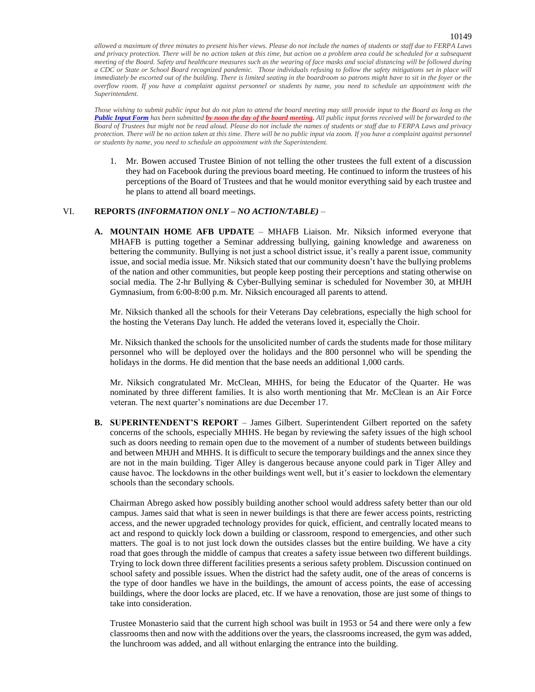*allowed a maximum of three minutes to present his/her views. Please do not include the names of students or staff due to FERPA Laws and privacy protection. There will be no action taken at this time, but action on a problem area could be scheduled for a subsequent meeting of the Board. Safety and healthcare measures such as the wearing of face masks and social distancing will be followed during a CDC or State or School Board recognized pandemic. Those individuals refusing to follow the safety mitigations set in place will immediately be escorted out of the building. There is limited seating in the boardroom so patrons might have to sit in the foyer or the overflow room. If you have a complaint against personnel or students by name, you need to schedule an appointment with the Superintendent.*

*Those wishing to submit public input but do not plan to attend the board meeting may still provide input to the Board as long as the [Public Input Form](https://www.mtnhomesd.org/public-input-form.html) has been submitted by noon the day of the board meeting. All public input forms received will be forwarded to the Board of Trustees but might not be read aloud. Please do not include the names of students or staff due to FERPA Laws and privacy protection. There will be no action taken at this time. There will be no public input via zoom. If you have a complaint against personnel or students by name, you need to schedule an appointment with the Superintendent.*

1. Mr. Bowen accused Trustee Binion of not telling the other trustees the full extent of a discussion they had on Facebook during the previous board meeting. He continued to inform the trustees of his perceptions of the Board of Trustees and that he would monitor everything said by each trustee and he plans to attend all board meetings.

## VI. **REPORTS** *(INFORMATION ONLY – NO ACTION/TABLE)* –

**A. MOUNTAIN HOME AFB UPDATE** – MHAFB Liaison. Mr. Niksich informed everyone that MHAFB is putting together a Seminar addressing bullying, gaining knowledge and awareness on bettering the community. Bullying is not just a school district issue, it's really a parent issue, community issue, and social media issue. Mr. Niksich stated that our community doesn't have the bullying problems of the nation and other communities, but people keep posting their perceptions and stating otherwise on social media. The 2-hr Bullying & Cyber-Bullying seminar is scheduled for November 30, at MHJH Gymnasium, from 6:00-8:00 p.m. Mr. Niksich encouraged all parents to attend.

Mr. Niksich thanked all the schools for their Veterans Day celebrations, especially the high school for the hosting the Veterans Day lunch. He added the veterans loved it, especially the Choir.

Mr. Niksich thanked the schools for the unsolicited number of cards the students made for those military personnel who will be deployed over the holidays and the 800 personnel who will be spending the holidays in the dorms. He did mention that the base needs an additional 1,000 cards.

Mr. Niksich congratulated Mr. McClean, MHHS, for being the Educator of the Quarter. He was nominated by three different families. It is also worth mentioning that Mr. McClean is an Air Force veteran. The next quarter's nominations are due December 17.

**B. SUPERINTENDENT'S REPORT** – James Gilbert. Superintendent Gilbert reported on the safety concerns of the schools, especially MHHS. He began by reviewing the safety issues of the high school such as doors needing to remain open due to the movement of a number of students between buildings and between MHJH and MHHS. It is difficult to secure the temporary buildings and the annex since they are not in the main building. Tiger Alley is dangerous because anyone could park in Tiger Alley and cause havoc. The lockdowns in the other buildings went well, but it's easier to lockdown the elementary schools than the secondary schools.

Chairman Abrego asked how possibly building another school would address safety better than our old campus. James said that what is seen in newer buildings is that there are fewer access points, restricting access, and the newer upgraded technology provides for quick, efficient, and centrally located means to act and respond to quickly lock down a building or classroom, respond to emergencies, and other such matters. The goal is to not just lock down the outsides classes but the entire building. We have a city road that goes through the middle of campus that creates a safety issue between two different buildings. Trying to lock down three different facilities presents a serious safety problem. Discussion continued on school safety and possible issues. When the district had the safety audit, one of the areas of concerns is the type of door handles we have in the buildings, the amount of access points, the ease of accessing buildings, where the door locks are placed, etc. If we have a renovation, those are just some of things to take into consideration.

Trustee Monasterio said that the current high school was built in 1953 or 54 and there were only a few classrooms then and now with the additions over the years, the classrooms increased, the gym was added, the lunchroom was added, and all without enlarging the entrance into the building.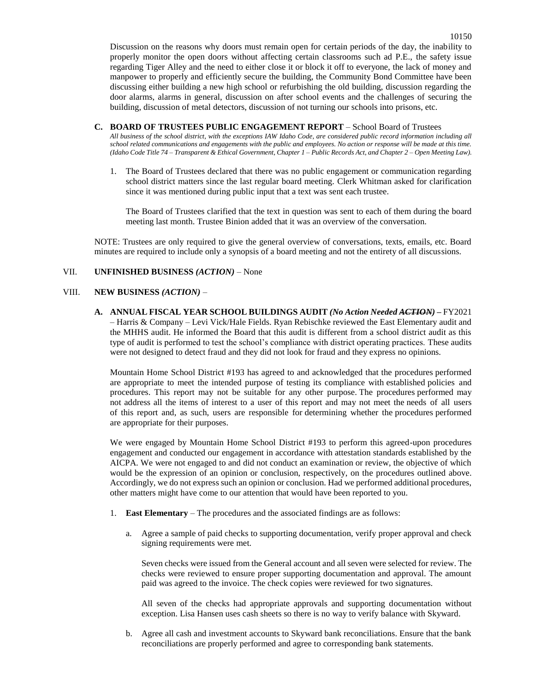**C. BOARD OF TRUSTEES PUBLIC ENGAGEMENT REPORT** – School Board of Trustees

*All business of the school district, with the exceptions IAW Idaho Code, are considered public record information including all school related communications and engagements with the public and employees. No action or response will be made at this time. (Idaho Code Title 74 – Transparent & Ethical Government, Chapter 1 – Public Records Act, and Chapter 2 – Open Meeting Law).*

1. The Board of Trustees declared that there was no public engagement or communication regarding school district matters since the last regular board meeting. Clerk Whitman asked for clarification since it was mentioned during public input that a text was sent each trustee.

The Board of Trustees clarified that the text in question was sent to each of them during the board meeting last month. Trustee Binion added that it was an overview of the conversation.

NOTE: Trustees are only required to give the general overview of conversations, texts, emails, etc. Board minutes are required to include only a synopsis of a board meeting and not the entirety of all discussions.

## VII. **UNFINISHED BUSINESS** *(ACTION)* – None

### VIII. **NEW BUSINESS** *(ACTION)* –

**A. ANNUAL FISCAL YEAR SCHOOL BUILDINGS AUDIT** *(No Action Needed ACTION)* **–** FY2021 – Harris & Company – Levi Vick/Hale Fields. Ryan Rebischke reviewed the East Elementary audit and the MHHS audit. He informed the Board that this audit is different from a school district audit as this type of audit is performed to test the school's compliance with district operating practices. These audits were not designed to detect fraud and they did not look for fraud and they express no opinions.

Mountain Home School District #193 has agreed to and acknowledged that the procedures performed are appropriate to meet the intended purpose of testing its compliance with established policies and procedures. This report may not be suitable for any other purpose. The procedures performed may not address all the items of interest to a user of this report and may not meet the needs of all users of this report and, as such, users are responsible for determining whether the procedures performed are appropriate for their purposes.

We were engaged by Mountain Home School District #193 to perform this agreed-upon procedures engagement and conducted our engagement in accordance with attestation standards established by the AICPA. We were not engaged to and did not conduct an examination or review, the objective of which would be the expression of an opinion or conclusion, respectively, on the procedures outlined above. Accordingly, we do not express such an opinion or conclusion. Had we performed additional procedures, other matters might have come to our attention that would have been reported to you.

- 1. **East Elementary** The procedures and the associated findings are as follows:
	- a. Agree a sample of paid checks to supporting documentation, verify proper approval and check signing requirements were met.

Seven checks were issued from the General account and all seven were selected for review. The checks were reviewed to ensure proper supporting documentation and approval. The amount paid was agreed to the invoice. The check copies were reviewed for two signatures.

All seven of the checks had appropriate approvals and supporting documentation without exception. Lisa Hansen uses cash sheets so there is no way to verify balance with Skyward.

b. Agree all cash and investment accounts to Skyward bank reconciliations. Ensure that the bank reconciliations are properly performed and agree to corresponding bank statements.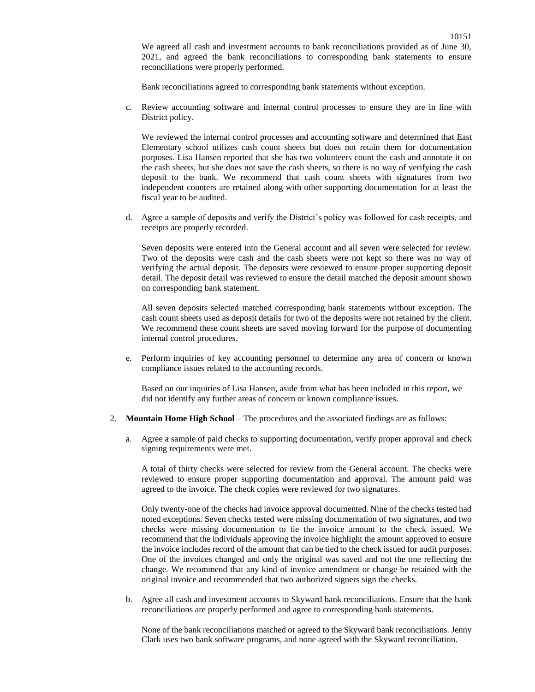We agreed all cash and investment accounts to bank reconciliations provided as of June 30, 2021, and agreed the bank reconciliations to corresponding bank statements to ensure reconciliations were properly performed.

Bank reconciliations agreed to corresponding bank statements without exception.

c. Review accounting software and internal control processes to ensure they are in line with District policy.

We reviewed the internal control processes and accounting software and determined that East Elementary school utilizes cash count sheets but does not retain them for documentation purposes. Lisa Hansen reported that she has two volunteers count the cash and annotate it on the cash sheets, but she does not save the cash sheets, so there is no way of verifying the cash deposit to the bank. We recommend that cash count sheets with signatures from two independent counters are retained along with other supporting documentation for at least the fiscal year to be audited.

d. Agree a sample of deposits and verify the District's policy was followed for cash receipts, and receipts are properly recorded.

Seven deposits were entered into the General account and all seven were selected for review. Two of the deposits were cash and the cash sheets were not kept so there was no way of verifying the actual deposit. The deposits were reviewed to ensure proper supporting deposit detail. The deposit detail was reviewed to ensure the detail matched the deposit amount shown on corresponding bank statement.

All seven deposits selected matched corresponding bank statements without exception. The cash count sheets used as deposit details for two of the deposits were not retained by the client. We recommend these count sheets are saved moving forward for the purpose of documenting internal control procedures.

e. Perform inquiries of key accounting personnel to determine any area of concern or known compliance issues related to the accounting records.

Based on our inquiries of Lisa Hansen, aside from what has been included in this report, we did not identify any further areas of concern or known compliance issues.

- 2. **Mountain Home High School** The procedures and the associated findings are as follows:
	- a. Agree a sample of paid checks to supporting documentation, verify proper approval and check signing requirements were met.

A total of thirty checks were selected for review from the General account. The checks were reviewed to ensure proper supporting documentation and approval. The amount paid was agreed to the invoice. The check copies were reviewed for two signatures.

Only twenty-one of the checks had invoice approval documented. Nine of the checks tested had noted exceptions. Seven checks tested were missing documentation of two signatures, and two checks were missing documentation to tie the invoice amount to the check issued. We recommend that the individuals approving the invoice highlight the amount approved to ensure the invoice includes record of the amount that can be tied to the check issued for audit purposes. One of the invoices changed and only the original was saved and not the one reflecting the change. We recommend that any kind of invoice amendment or change be retained with the original invoice and recommended that two authorized signers sign the checks.

b. Agree all cash and investment accounts to Skyward bank reconciliations. Ensure that the bank reconciliations are properly performed and agree to corresponding bank statements.

None of the bank reconciliations matched or agreed to the Skyward bank reconciliations. Jenny Clark uses two bank software programs, and none agreed with the Skyward reconciliation.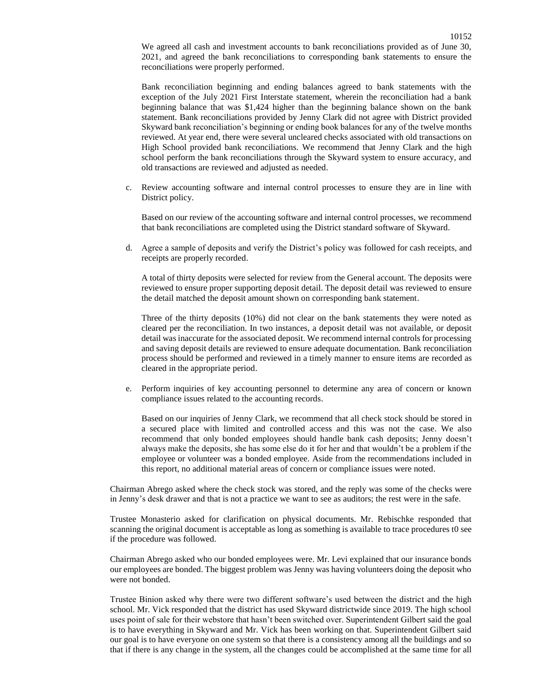We agreed all cash and investment accounts to bank reconciliations provided as of June 30, 2021, and agreed the bank reconciliations to corresponding bank statements to ensure the reconciliations were properly performed.

Bank reconciliation beginning and ending balances agreed to bank statements with the exception of the July 2021 First Interstate statement, wherein the reconciliation had a bank beginning balance that was \$1,424 higher than the beginning balance shown on the bank statement. Bank reconciliations provided by Jenny Clark did not agree with District provided Skyward bank reconciliation's beginning or ending book balances for any of the twelve months reviewed. At year end, there were several uncleared checks associated with old transactions on High School provided bank reconciliations. We recommend that Jenny Clark and the high school perform the bank reconciliations through the Skyward system to ensure accuracy, and old transactions are reviewed and adjusted as needed.

c. Review accounting software and internal control processes to ensure they are in line with District policy.

Based on our review of the accounting software and internal control processes, we recommend that bank reconciliations are completed using the District standard software of Skyward.

d. Agree a sample of deposits and verify the District's policy was followed for cash receipts, and receipts are properly recorded.

A total of thirty deposits were selected for review from the General account. The deposits were reviewed to ensure proper supporting deposit detail. The deposit detail was reviewed to ensure the detail matched the deposit amount shown on corresponding bank statement.

Three of the thirty deposits (10%) did not clear on the bank statements they were noted as cleared per the reconciliation. In two instances, a deposit detail was not available, or deposit detail was inaccurate for the associated deposit. We recommend internal controls for processing and saving deposit details are reviewed to ensure adequate documentation. Bank reconciliation process should be performed and reviewed in a timely manner to ensure items are recorded as cleared in the appropriate period.

e. Perform inquiries of key accounting personnel to determine any area of concern or known compliance issues related to the accounting records.

Based on our inquiries of Jenny Clark, we recommend that all check stock should be stored in a secured place with limited and controlled access and this was not the case. We also recommend that only bonded employees should handle bank cash deposits; Jenny doesn't always make the deposits, she has some else do it for her and that wouldn't be a problem if the employee or volunteer was a bonded employee. Aside from the recommendations included in this report, no additional material areas of concern or compliance issues were noted.

Chairman Abrego asked where the check stock was stored, and the reply was some of the checks were in Jenny's desk drawer and that is not a practice we want to see as auditors; the rest were in the safe.

Trustee Monasterio asked for clarification on physical documents. Mr. Rebischke responded that scanning the original document is acceptable as long as something is available to trace procedures t0 see if the procedure was followed.

Chairman Abrego asked who our bonded employees were. Mr. Levi explained that our insurance bonds our employees are bonded. The biggest problem was Jenny was having volunteers doing the deposit who were not bonded.

Trustee Binion asked why there were two different software's used between the district and the high school. Mr. Vick responded that the district has used Skyward districtwide since 2019. The high school uses point of sale for their webstore that hasn't been switched over. Superintendent Gilbert said the goal is to have everything in Skyward and Mr. Vick has been working on that. Superintendent Gilbert said our goal is to have everyone on one system so that there is a consistency among all the buildings and so that if there is any change in the system, all the changes could be accomplished at the same time for all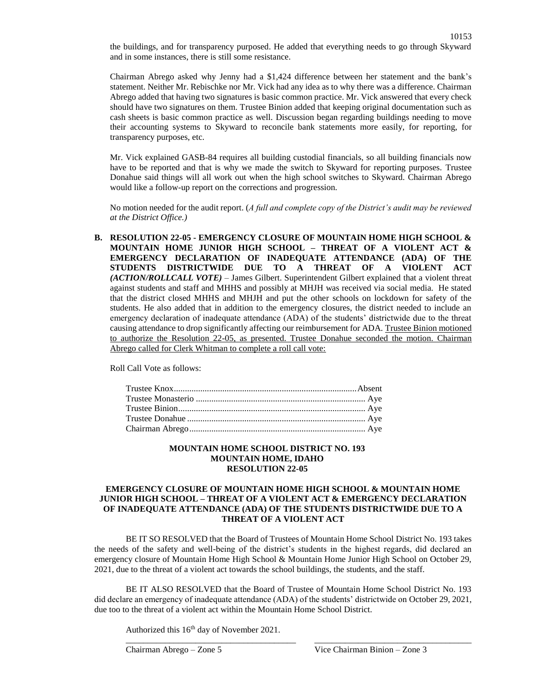the buildings, and for transparency purposed. He added that everything needs to go through Skyward and in some instances, there is still some resistance.

Chairman Abrego asked why Jenny had a \$1,424 difference between her statement and the bank's statement. Neither Mr. Rebischke nor Mr. Vick had any idea as to why there was a difference. Chairman Abrego added that having two signatures is basic common practice. Mr. Vick answered that every check should have two signatures on them. Trustee Binion added that keeping original documentation such as cash sheets is basic common practice as well. Discussion began regarding buildings needing to move their accounting systems to Skyward to reconcile bank statements more easily, for reporting, for transparency purposes, etc.

Mr. Vick explained GASB-84 requires all building custodial financials, so all building financials now have to be reported and that is why we made the switch to Skyward for reporting purposes. Trustee Donahue said things will all work out when the high school switches to Skyward. Chairman Abrego would like a follow-up report on the corrections and progression.

No motion needed for the audit report. (*A full and complete copy of the District's audit may be reviewed at the District Office.)*

**B. RESOLUTION 22-05 - EMERGENCY CLOSURE OF MOUNTAIN HOME HIGH SCHOOL & MOUNTAIN HOME JUNIOR HIGH SCHOOL – THREAT OF A VIOLENT ACT & EMERGENCY DECLARATION OF INADEQUATE ATTENDANCE (ADA) OF THE STUDENTS DISTRICTWIDE DUE TO A THREAT OF A VIOLENT ACT**  *(ACTION/ROLLCALL VOTE)* – James Gilbert. Superintendent Gilbert explained that a violent threat against students and staff and MHHS and possibly at MHJH was received via social media. He stated that the district closed MHHS and MHJH and put the other schools on lockdown for safety of the students. He also added that in addition to the emergency closures, the district needed to include an emergency declaration of inadequate attendance (ADA) of the students' districtwide due to the threat causing attendance to drop significantly affecting our reimbursement for ADA. Trustee Binion motioned to authorize the Resolution 22-05, as presented. Trustee Donahue seconded the motion. Chairman Abrego called for Clerk Whitman to complete a roll call vote:

Roll Call Vote as follows:

### **MOUNTAIN HOME SCHOOL DISTRICT NO. 193 MOUNTAIN HOME, IDAHO RESOLUTION 22-05**

## **EMERGENCY CLOSURE OF MOUNTAIN HOME HIGH SCHOOL & MOUNTAIN HOME JUNIOR HIGH SCHOOL – THREAT OF A VIOLENT ACT & EMERGENCY DECLARATION OF INADEQUATE ATTENDANCE (ADA) OF THE STUDENTS DISTRICTWIDE DUE TO A THREAT OF A VIOLENT ACT**

BE IT SO RESOLVED that the Board of Trustees of Mountain Home School District No. 193 takes the needs of the safety and well-being of the district's students in the highest regards, did declared an emergency closure of Mountain Home High School & Mountain Home Junior High School on October 29, 2021, due to the threat of a violent act towards the school buildings, the students, and the staff.

BE IT ALSO RESOLVED that the Board of Trustee of Mountain Home School District No. 193 did declare an emergency of inadequate attendance (ADA) of the students' districtwide on October 29, 2021, due too to the threat of a violent act within the Mountain Home School District.

\_\_\_\_\_\_\_\_\_\_\_\_\_\_\_\_\_\_\_\_\_\_\_\_\_\_\_\_\_\_\_\_\_\_\_\_\_\_\_ \_\_\_\_\_\_\_\_\_\_\_\_\_\_\_\_\_\_\_\_\_\_\_\_\_\_\_\_\_\_\_\_\_\_\_\_

Authorized this 16<sup>th</sup> day of November 2021.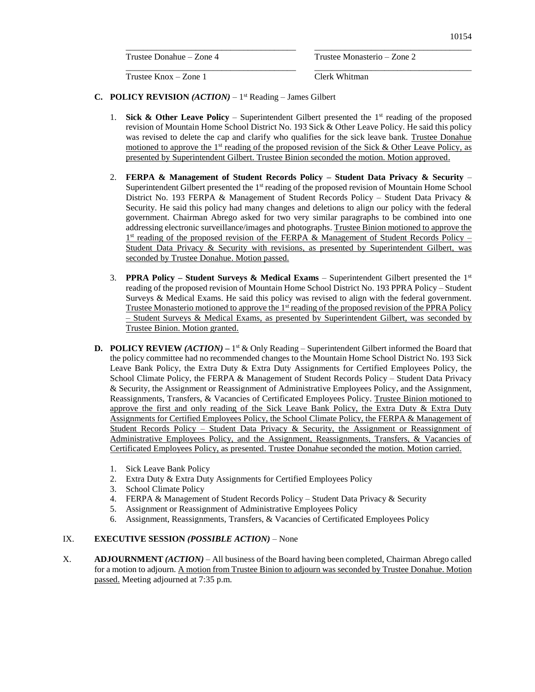Trustee Donahue – Zone 4 Trustee Monasterio – Zone 2

Trustee Knox – Zone 1 Clerk Whitman

**C. POLICY REVISION** *(ACTION)* – 1 st Reading – James Gilbert

1. **Sick & Other Leave Policy** – Superintendent Gilbert presented the 1<sup>st</sup> reading of the proposed revision of Mountain Home School District No. 193 Sick & Other Leave Policy. He said this policy was revised to delete the cap and clarify who qualifies for the sick leave bank. Trustee Donahue motioned to approve the  $1<sup>st</sup>$  reading of the proposed revision of the Sick & Other Leave Policy, as presented by Superintendent Gilbert. Trustee Binion seconded the motion. Motion approved.

\_\_\_\_\_\_\_\_\_\_\_\_\_\_\_\_\_\_\_\_\_\_\_\_\_\_\_\_\_\_\_\_\_\_\_\_\_\_\_ \_\_\_\_\_\_\_\_\_\_\_\_\_\_\_\_\_\_\_\_\_\_\_\_\_\_\_\_\_\_\_\_\_\_\_\_

\_\_\_\_\_\_\_\_\_\_\_\_\_\_\_\_\_\_\_\_\_\_\_\_\_\_\_\_\_\_\_\_\_\_\_\_\_\_\_ \_\_\_\_\_\_\_\_\_\_\_\_\_\_\_\_\_\_\_\_\_\_\_\_\_\_\_\_\_\_\_\_\_\_\_\_

- 2. **FERPA & Management of Student Records Policy – Student Data Privacy & Security** Superintendent Gilbert presented the 1<sup>st</sup> reading of the proposed revision of Mountain Home School District No. 193 FERPA & Management of Student Records Policy – Student Data Privacy & Security. He said this policy had many changes and deletions to align our policy with the federal government. Chairman Abrego asked for two very similar paragraphs to be combined into one addressing electronic surveillance/images and photographs. Trustee Binion motioned to approve the 1<sup>st</sup> reading of the proposed revision of the FERPA & Management of Student Records Policy – Student Data Privacy & Security with revisions, as presented by Superintendent Gilbert, was seconded by Trustee Donahue. Motion passed.
- 3. **PPRA Policy – Student Surveys & Medical Exams** Superintendent Gilbert presented the 1 st reading of the proposed revision of Mountain Home School District No. 193 PPRA Policy – Student Surveys & Medical Exams. He said this policy was revised to align with the federal government. Trustee Monasterio motioned to approve the 1<sup>st</sup> reading of the proposed revision of the PPRA Policy – Student Surveys & Medical Exams, as presented by Superintendent Gilbert, was seconded by Trustee Binion. Motion granted.
- **D. POLICY REVIEW** (*ACTION*) 1<sup>st</sup> & Only Reading Superintendent Gilbert informed the Board that the policy committee had no recommended changes to the Mountain Home School District No. 193 Sick Leave Bank Policy, the Extra Duty & Extra Duty Assignments for Certified Employees Policy, the School Climate Policy, the FERPA & Management of Student Records Policy – Student Data Privacy & Security, the Assignment or Reassignment of Administrative Employees Policy, and the Assignment, Reassignments, Transfers, & Vacancies of Certificated Employees Policy. Trustee Binion motioned to approve the first and only reading of the Sick Leave Bank Policy, the Extra Duty  $\&$  Extra Duty Assignments for Certified Employees Policy, the School Climate Policy, the FERPA & Management of Student Records Policy – Student Data Privacy & Security, the Assignment or Reassignment of Administrative Employees Policy, and the Assignment, Reassignments, Transfers, & Vacancies of Certificated Employees Policy, as presented. Trustee Donahue seconded the motion. Motion carried.
	- 1. Sick Leave Bank Policy
	- 2. Extra Duty & Extra Duty Assignments for Certified Employees Policy
	- 3. School Climate Policy
	- 4. FERPA & Management of Student Records Policy Student Data Privacy & Security
	- 5. Assignment or Reassignment of Administrative Employees Policy
	- 6. Assignment, Reassignments, Transfers, & Vacancies of Certificated Employees Policy

## IX. **EXECUTIVE SESSION** *(POSSIBLE ACTION)* – None

X. **ADJOURNMENT** *(ACTION)* – All business of the Board having been completed, Chairman Abrego called for a motion to adjourn. A motion from Trustee Binion to adjourn was seconded by Trustee Donahue. Motion passed. Meeting adjourned at 7:35 p.m.